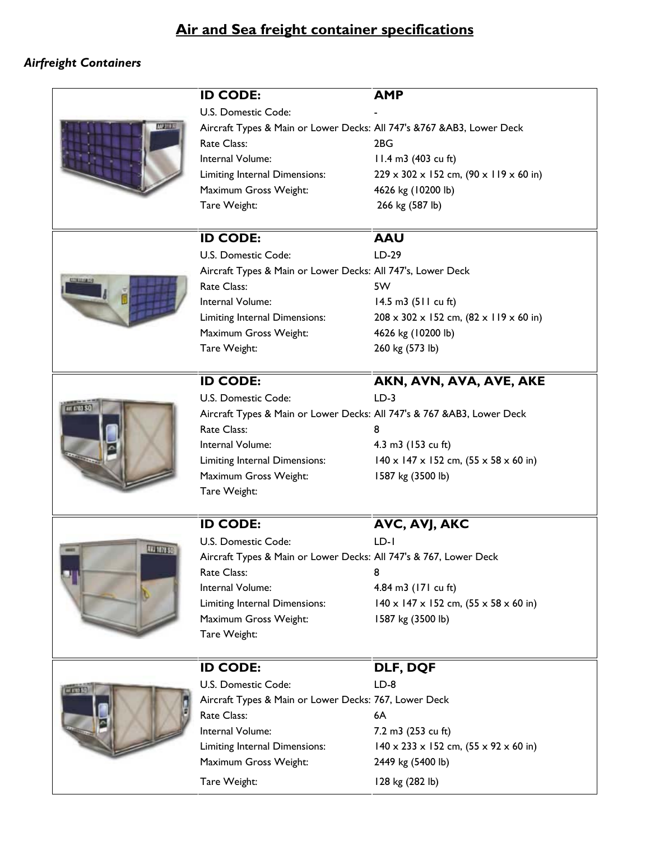## *Airfreight Containers*

|                 | <b>ID CODE:</b>                                                         | <b>AMP</b>                                                      |
|-----------------|-------------------------------------------------------------------------|-----------------------------------------------------------------|
| ANY STILL       | U.S. Domestic Code:                                                     |                                                                 |
|                 | Aircraft Types & Main or Lower Decks: All 747's & 767 & AB3, Lower Deck |                                                                 |
|                 | Rate Class:                                                             | 2BG                                                             |
|                 | Internal Volume:                                                        | 11.4 m3 (403 cu ft)                                             |
|                 | Limiting Internal Dimensions:                                           | $229 \times 302 \times 152$ cm, $(90 \times 119 \times 60)$ in) |
|                 | Maximum Gross Weight:                                                   | 4626 kg (10200 lb)                                              |
|                 | Tare Weight:                                                            | 266 kg (587 lb)                                                 |
|                 |                                                                         |                                                                 |
| <b>UTELIKAN</b> | <b>ID CODE:</b>                                                         | <b>AAU</b>                                                      |
|                 | U.S. Domestic Code:                                                     | LD-29                                                           |
|                 | Aircraft Types & Main or Lower Decks: All 747's, Lower Deck             |                                                                 |
|                 | Rate Class:                                                             | 5W                                                              |
|                 | Internal Volume:                                                        | 14.5 m3 $(511 \text{ cu ft})$                                   |
|                 | Limiting Internal Dimensions:                                           | $208 \times 302 \times 152$ cm, $(82 \times 119 \times 60)$ in) |
|                 | Maximum Gross Weight:                                                   | 4626 kg (10200 lb)                                              |
|                 | Tare Weight:                                                            | 260 kg (573 lb)                                                 |
|                 |                                                                         |                                                                 |
| ur anno SC      | <b>ID CODE:</b>                                                         | AKN, AVN, AVA, AVE, AKE                                         |
|                 | U.S. Domestic Code:                                                     | $LD-3$                                                          |
|                 | Aircraft Types & Main or Lower Decks: All 747's & 767 & AB3, Lower Deck |                                                                 |
|                 | Rate Class:                                                             | 8                                                               |
|                 | Internal Volume:                                                        | 4.3 m3 (153 cu ft)                                              |
|                 | Limiting Internal Dimensions:                                           | $140 \times 147 \times 152$ cm, $(55 \times 58 \times 60)$ in)  |
|                 | Maximum Gross Weight:                                                   | 1587 kg (3500 lb)                                               |
|                 | Tare Weight:                                                            |                                                                 |
|                 | <b>ID CODE:</b>                                                         | AVC, AVJ, AKC                                                   |
| AVJ 1878 SC     | U.S. Domestic Code:                                                     | $LD-1$                                                          |
|                 | Aircraft Types & Main or Lower Decks: All 747's & 767, Lower Deck       |                                                                 |
|                 | Rate Class:                                                             | 8                                                               |
|                 | Internal Volume:                                                        | 4.84 m3 (171 cu ft)                                             |
|                 | Limiting Internal Dimensions:                                           | $140 \times 147 \times 152$ cm, $(55 \times 58 \times 60)$ in)  |
|                 | Maximum Gross Weight:                                                   | 1587 kg (3500 lb)                                               |
|                 | Tare Weight:                                                            |                                                                 |
|                 |                                                                         |                                                                 |
| <b>UESS 50</b>  | <b>ID CODE:</b>                                                         | DLF, DQF                                                        |
|                 | U.S. Domestic Code:                                                     | $LD-8$                                                          |
|                 | Aircraft Types & Main or Lower Decks: 767, Lower Deck                   |                                                                 |
|                 | Rate Class:                                                             | 6A                                                              |
|                 | Internal Volume:                                                        | 7.2 m3 (253 cu ft)                                              |
|                 | Limiting Internal Dimensions:                                           | $140 \times 233 \times 152$ cm, $(55 \times 92 \times 60)$ in)  |
|                 | Maximum Gross Weight:                                                   | 2449 kg (5400 lb)                                               |
|                 | Tare Weight:                                                            | 128 kg (282 lb)                                                 |